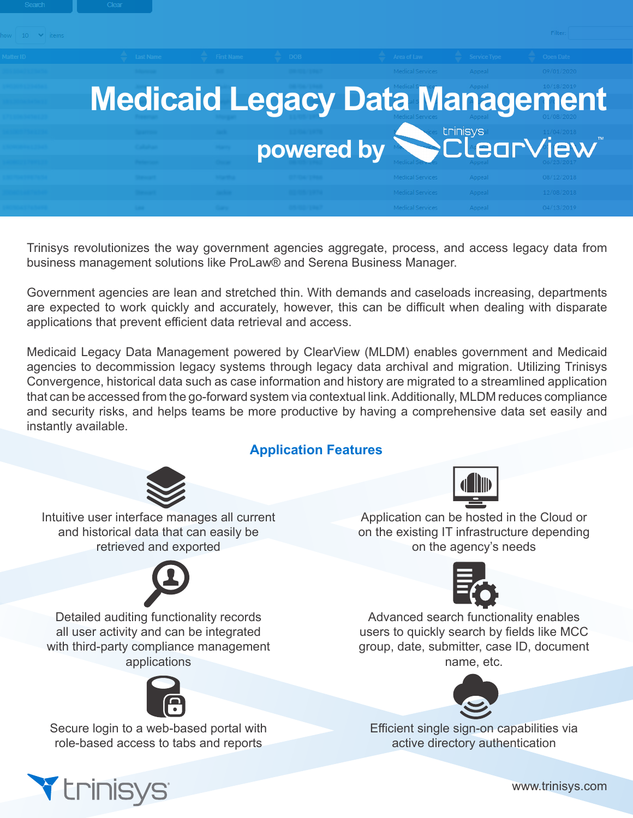

Trinisys revolutionizes the way government agencies aggregate, process, and access legacy data from business management solutions like ProLaw® and Serena Business Manager.

Government agencies are lean and stretched thin. With demands and caseloads increasing, departments are expected to work quickly and accurately, however, this can be difficult when dealing with disparate applications that prevent efficient data retrieval and access.

Medicaid Legacy Data Management powered by ClearView (MLDM) enables government and Medicaid agencies to decommission legacy systems through legacy data archival and migration. Utilizing Trinisys Convergence, historical data such as case information and history are migrated to a streamlined application that can be accessed from the go-forward system via contextual link. Additionally, MLDM reduces compliance and security risks, and helps teams be more productive by having a comprehensive data set easily and instantly available.

# **Application Features**



Intuitive user interface manages all current and historical data that can easily be retrieved and exported



Detailed auditing functionality records all user activity and can be integrated with third-party compliance management applications



Secure login to a web-based portal with role-based access to tabs and reports



Application can be hosted in the Cloud or on the existing IT infrastructure depending on the agency's needs



Advanced search functionality enables users to quickly search by fields like MCC group, date, submitter, case ID, document name, etc.



Efficient single sign-on capabilities via active directory authentication



www.trinisys.com